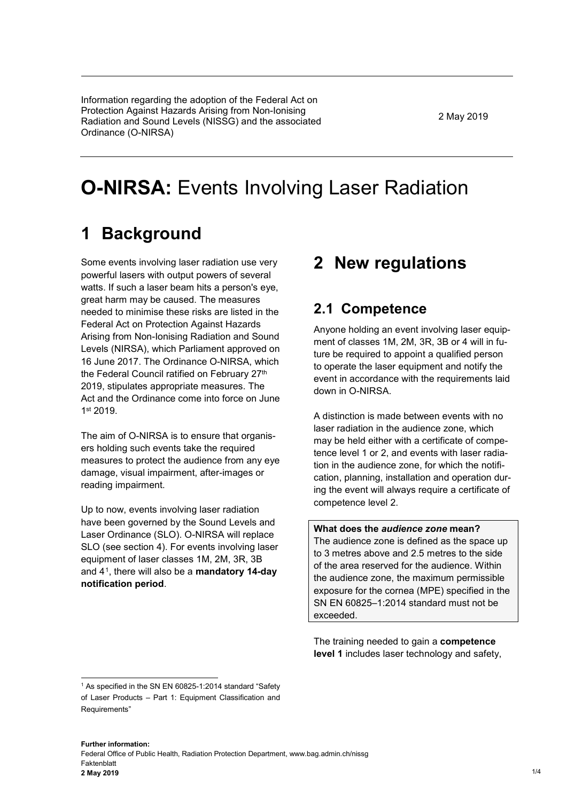Information regarding the adoption of the Federal Act on Protection Against Hazards Arising from Non-Ionising Radiation and Sound Levels (NISSG) and the associated Ordinance (O-NIRSA)

2 May 2019

# **O-NIRSA:** Events Involving Laser Radiation

# **1 Background**

Some events involving laser radiation use very powerful lasers with output powers of several watts. If such a laser beam hits a person's eve. great harm may be caused. The measures needed to minimise these risks are listed in the Federal Act on Protection Against Hazards Arising from Non-Ionising Radiation and Sound Levels (NIRSA), which Parliament approved on 16 June 2017. The Ordinance O-NIRSA, which the Federal Council ratified on February 27th 2019, stipulates appropriate measures. The Act and the Ordinance come into force on June 1st 2019.

The aim of O-NIRSA is to ensure that organisers holding such events take the required measures to protect the audience from any eye damage, visual impairment, after-images or reading impairment.

Up to now, events involving laser radiation have been governed by the Sound Levels and Laser Ordinance (SLO). O-NIRSA will replace SLO (see section 4). For events involving laser equipment of laser classes 1M, 2M, 3R, 3B and 4[1](#page-0-0), there will also be a **mandatory 14-day notification period**.

## **2 New regulations**

### **2.1 Competence**

Anyone holding an event involving laser equipment of classes 1M, 2M, 3R, 3B or 4 will in future be required to appoint a qualified person to operate the laser equipment and notify the event in accordance with the requirements laid down in O-NIRSA.

A distinction is made between events with no laser radiation in the audience zone, which may be held either with a certificate of competence level 1 or 2, and events with laser radiation in the audience zone, for which the notification, planning, installation and operation during the event will always require a certificate of competence level 2.

#### **What does the** *audience zone* **mean?**

The audience zone is defined as the space up to 3 metres above and 2.5 metres to the side of the area reserved for the audience. Within the audience zone, the maximum permissible exposure for the cornea (MPE) specified in the SN EN 60825–1:2014 standard must not be exceeded.

The training needed to gain a **competence level 1** includes laser technology and safety,

<span id="page-0-0"></span><sup>&</sup>lt;sup>1</sup> As specified in the SN EN 60825-1:2014 standard "Safety" of Laser Products – Part 1: Equipment Classification and Requirements"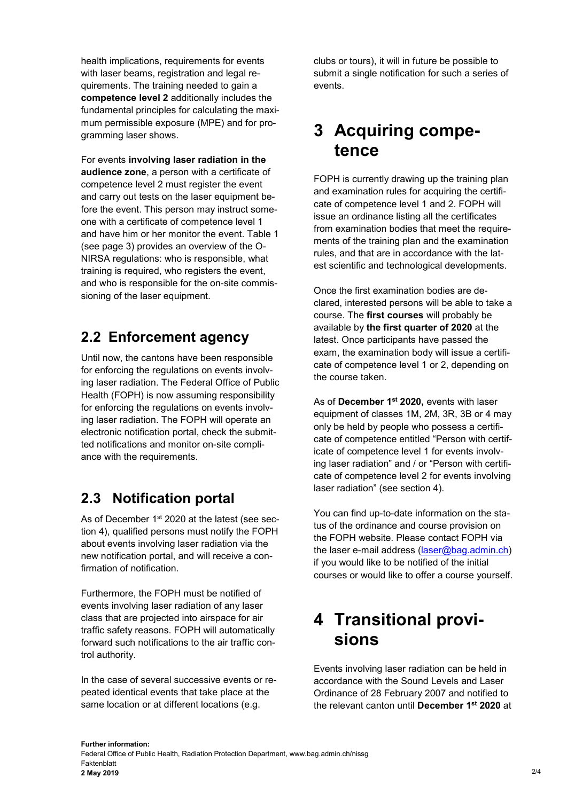health implications, requirements for events with laser beams, registration and legal requirements. The training needed to gain a **competence level 2** additionally includes the fundamental principles for calculating the maximum permissible exposure (MPE) and for programming laser shows.

For events **involving laser radiation in the audience zone**, a person with a certificate of competence level 2 must register the event and carry out tests on the laser equipment before the event. This person may instruct someone with a certificate of competence level 1 and have him or her monitor the event. Table 1 (see page 3) provides an overview of the O-NIRSA regulations: who is responsible, what training is required, who registers the event, and who is responsible for the on-site commissioning of the laser equipment.

### **2.2 Enforcement agency**

Until now, the cantons have been responsible for enforcing the regulations on events involving laser radiation. The Federal Office of Public Health (FOPH) is now assuming responsibility for enforcing the regulations on events involving laser radiation. The FOPH will operate an electronic notification portal, check the submitted notifications and monitor on-site compliance with the requirements.

## **2.3 Notification portal**

As of December 1<sup>st</sup> 2020 at the latest (see section 4), qualified persons must notify the FOPH about events involving laser radiation via the new notification portal, and will receive a confirmation of notification.

Furthermore, the FOPH must be notified of events involving laser radiation of any laser class that are projected into airspace for air traffic safety reasons. FOPH will automatically forward such notifications to the air traffic control authority.

In the case of several successive events or repeated identical events that take place at the same location or at different locations (e.g.

clubs or tours), it will in future be possible to submit a single notification for such a series of events.

## **3 Acquiring competence**

FOPH is currently drawing up the training plan and examination rules for acquiring the certificate of competence level 1 and 2. FOPH will issue an ordinance listing all the certificates from examination bodies that meet the requirements of the training plan and the examination rules, and that are in accordance with the latest scientific and technological developments.

Once the first examination bodies are declared, interested persons will be able to take a course. The **first courses** will probably be available by **the first quarter of 2020** at the latest. Once participants have passed the exam, the examination body will issue a certificate of competence level 1 or 2, depending on the course taken.

As of **December 1st 2020,** events with laser equipment of classes 1M, 2M, 3R, 3B or 4 may only be held by people who possess a certificate of competence entitled "Person with certificate of competence level 1 for events involving laser radiation" and / or "Person with certificate of competence level 2 for events involving laser radiation" (see section 4).

You can find up-to-date information on the status of the ordinance and course provision on the FOPH website. Please contact FOPH via the laser e-mail address [\(laser@bag.admin.ch\)](mailto:laser@bag.admin.ch) if you would like to be notified of the initial courses or would like to offer a course yourself.

## **4 Transitional provisions**

Events involving laser radiation can be held in accordance with the Sound Levels and Laser Ordinance of 28 February 2007 and notified to the relevant canton until **December 1st 2020** at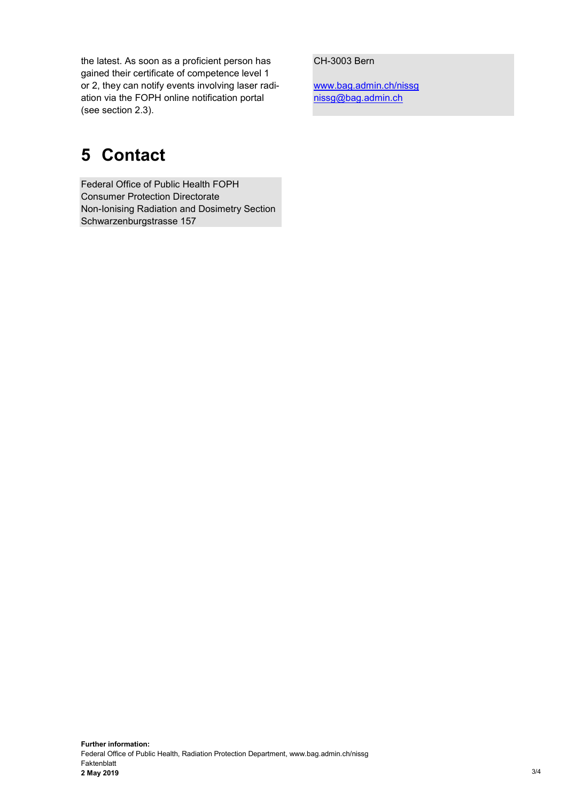the latest. As soon as a proficient person has gained their certificate of competence level 1 or 2, they can notify events involving laser radiation via the FOPH online notification portal (see section 2.3).

# **5 Contact**

Federal Office of Public Health FOPH Consumer Protection Directorate Non-Ionising Radiation and Dosimetry Section Schwarzenburgstrasse 157

#### CH-3003 Bern

www.bag.admin.ch/nissg [nissg@bag.admin.ch](mailto:nissg@bag.admin.ch)